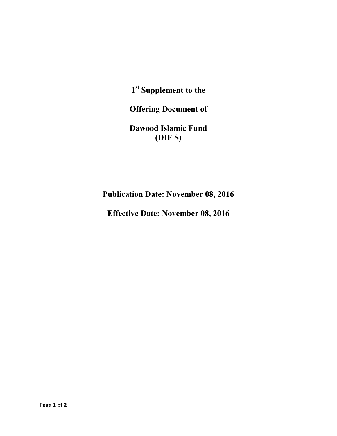**1st Supplement to the**

**Offering Document of**

**Dawood Islamic Fund (DIF S)**

**Publication Date: November 08, 2016**

**Effective Date: November 08, 2016**